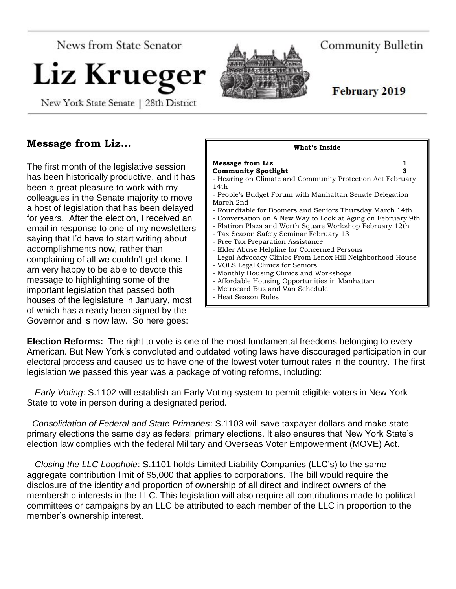News from State Senator

# Liz Krueger

New York State Senate | 28th District

Community Bulletin

February 2019

# **Message from Liz…**

The first month of the legislative session has been historically productive, and it has been a great pleasure to work with my colleagues in the Senate majority to move a host of legislation that has been delayed for years. After the election, I received an email in response to one of my newsletters saying that I'd have to start writing about accomplishments now, rather than complaining of all we couldn't get done. I am very happy to be able to devote this message to highlighting some of the important legislation that passed both houses of the legislature in January, most of which has already been signed by the Governor and is now law. So here goes:

| What's Inside                                                                                                                                                                                                                                                                                                                                                                                                                                                                                                                                                                                                                                                                                                                                                               |  |
|-----------------------------------------------------------------------------------------------------------------------------------------------------------------------------------------------------------------------------------------------------------------------------------------------------------------------------------------------------------------------------------------------------------------------------------------------------------------------------------------------------------------------------------------------------------------------------------------------------------------------------------------------------------------------------------------------------------------------------------------------------------------------------|--|
| <b>Message from Liz</b><br>1<br><b>Community Spotlight</b><br>з<br>- Hearing on Climate and Community Protection Act February<br>14th<br>- People's Budget Forum with Manhattan Senate Delegation<br>March 2nd<br>- Roundtable for Boomers and Seniors Thursday March 14th<br>- Conversation on A New Way to Look at Aging on February 9th<br>- Flatiron Plaza and Worth Square Workshop February 12th<br>- Tax Season Safety Seminar February 13<br>- Free Tax Preparation Assistance<br>- Elder Abuse Helpline for Concerned Persons<br>- Legal Advocacy Clinics From Lenox Hill Neighborhood House<br>- VOLS Legal Clinics for Seniors<br>- Monthly Housing Clinics and Workshops<br>- Affordable Housing Opportunities in Manhattan<br>- Metrocard Bus and Van Schedule |  |
| - Heat Season Rules                                                                                                                                                                                                                                                                                                                                                                                                                                                                                                                                                                                                                                                                                                                                                         |  |

**Election Reforms:** The right to vote is one of the most fundamental freedoms belonging to every American. But New York's convoluted and outdated voting laws have discouraged participation in our electoral process and caused us to have one of the lowest voter turnout rates in the country. The first legislation we passed this year was a package of voting reforms, including:

- *Early Voting*: S.1102 will establish an Early Voting system to permit eligible voters in New York State to vote in person during a designated period.

- *Consolidation of Federal and State Primaries*: S.1103 will save taxpayer dollars and make state primary elections the same day as federal primary elections. It also ensures that New York State's election law complies with the federal Military and Overseas Voter Empowerment (MOVE) Act.

- *Closing the LLC Loophole*: S.1101 holds Limited Liability Companies (LLC's) to the same aggregate contribution limit of \$5,000 that applies to corporations. The bill would require the disclosure of the identity and proportion of ownership of all direct and indirect owners of the membership interests in the LLC. This legislation will also require all contributions made to political committees or campaigns by an LLC be attributed to each member of the LLC in proportion to the member's ownership interest.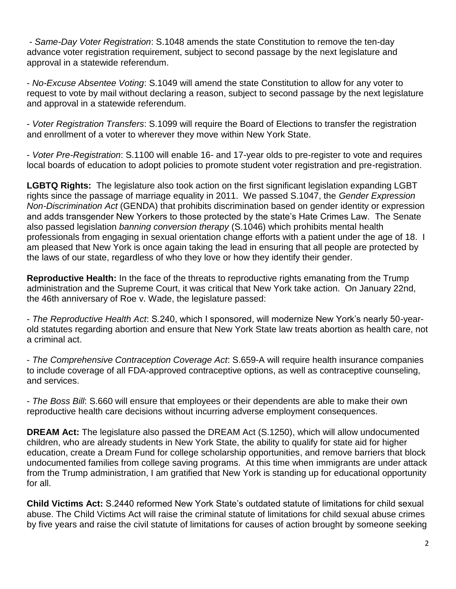- *Same-Day Voter Registration*: S.1048 amends the state Constitution to remove the ten-day advance voter registration requirement, subject to second passage by the next legislature and approval in a statewide referendum.

- *No-Excuse Absentee Voting*: S.1049 will amend the state Constitution to allow for any voter to request to vote by mail without declaring a reason, subject to second passage by the next legislature and approval in a statewide referendum.

- *Voter Registration Transfers*: S.1099 will require the Board of Elections to transfer the registration and enrollment of a voter to wherever they move within New York State.

- *Voter Pre-Registration*: S.1100 will enable 16- and 17-year olds to pre-register to vote and requires local boards of education to adopt policies to promote student voter registration and pre-registration.

**LGBTQ Rights:** The legislature also took action on the first significant legislation expanding LGBT rights since the passage of marriage equality in 2011. We passed S.1047, the *Gender Expression Non-Discrimination Act* (GENDA) that prohibits discrimination based on gender identity or expression and adds transgender New Yorkers to those protected by the state's Hate Crimes Law. The Senate also passed legislation *banning conversion therapy* (S.1046) which prohibits mental health professionals from engaging in sexual orientation change efforts with a patient under the age of 18. I am pleased that New York is once again taking the lead in ensuring that all people are protected by the laws of our state, regardless of who they love or how they identify their gender.

**Reproductive Health:** In the face of the threats to reproductive rights emanating from the Trump administration and the Supreme Court, it was critical that New York take action. On January 22nd, the 46th anniversary of Roe v. Wade, the legislature passed:

- *The Reproductive Health Act*: S.240, which I sponsored, will modernize New York's nearly 50-yearold statutes regarding abortion and ensure that New York State law treats abortion as health care, not a criminal act.

- *The Comprehensive Contraception Coverage Act*: S.659-A will require health insurance companies to include coverage of all FDA-approved contraceptive options, as well as contraceptive counseling, and services.

- *The Boss Bill*: S.660 will ensure that employees or their dependents are able to make their own reproductive health care decisions without incurring adverse employment consequences.

**DREAM Act:** The legislature also passed the DREAM Act (S.1250), which will allow undocumented children, who are already students in New York State, the ability to qualify for state aid for higher education, create a Dream Fund for college scholarship opportunities, and remove barriers that block undocumented families from college saving programs. At this time when immigrants are under attack from the Trump administration, I am gratified that New York is standing up for educational opportunity for all.

**Child Victims Act:** S.2440 reformed New York State's outdated statute of limitations for child sexual abuse. The Child Victims Act will raise the criminal statute of limitations for child sexual abuse crimes by five years and raise the civil statute of limitations for causes of action brought by someone seeking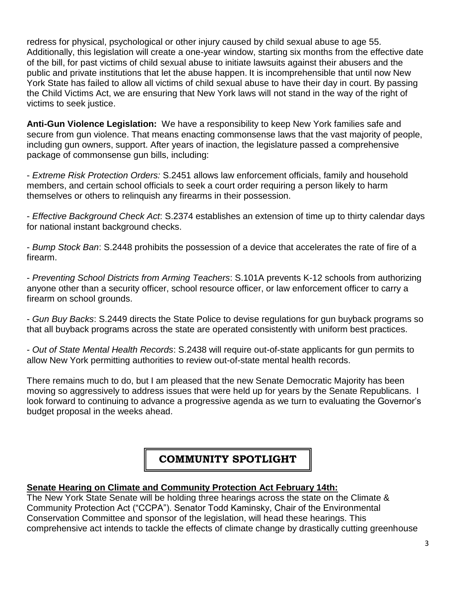redress for physical, psychological or other injury caused by child sexual abuse to age 55. Additionally, this legislation will create a one-year window, starting six months from the effective date of the bill, for past victims of child sexual abuse to initiate lawsuits against their abusers and the public and private institutions that let the abuse happen. It is incomprehensible that until now New York State has failed to allow all victims of child sexual abuse to have their day in court. By passing the Child Victims Act, we are ensuring that New York laws will not stand in the way of the right of victims to seek justice.

**Anti-Gun Violence Legislation:** We have a responsibility to keep New York families safe and secure from gun violence. That means enacting commonsense laws that the vast majority of people, including gun owners, support. After years of inaction, the legislature passed a comprehensive package of commonsense gun bills, including:

- *Extreme Risk Protection Orders:* S.2451 allows law enforcement officials, family and household members, and certain school officials to seek a court order requiring a person likely to harm themselves or others to relinquish any firearms in their possession.

- *Effective Background Check Act*: S.2374 establishes an extension of time up to thirty calendar days for national instant background checks.

- *Bump Stock Ban*: S.2448 prohibits the possession of a device that accelerates the rate of fire of a firearm.

- *Preventing School Districts from Arming Teachers*: S.101A prevents K-12 schools from authorizing anyone other than a security officer, school resource officer, or law enforcement officer to carry a firearm on school grounds.

- *Gun Buy Backs*: S.2449 directs the State Police to devise regulations for gun buyback programs so that all buyback programs across the state are operated consistently with uniform best practices.

- *Out of State Mental Health Records*: S.2438 will require out-of-state applicants for gun permits to allow New York permitting authorities to review out-of-state mental health records.

There remains much to do, but I am pleased that the new Senate Democratic Majority has been moving so aggressively to address issues that were held up for years by the Senate Republicans. I look forward to continuing to advance a progressive agenda as we turn to evaluating the Governor's budget proposal in the weeks ahead.

# **COMMUNITY SPOTLIGHT**

#### **Senate Hearing on Climate and Community Protection Act February 14th:**

The New York State Senate will be holding three hearings across the state on the Climate & Community Protection Act ("CCPA"). Senator Todd Kaminsky, Chair of the Environmental Conservation Committee and sponsor of the legislation, will head these hearings. This comprehensive act intends to tackle the effects of climate change by drastically cutting greenhouse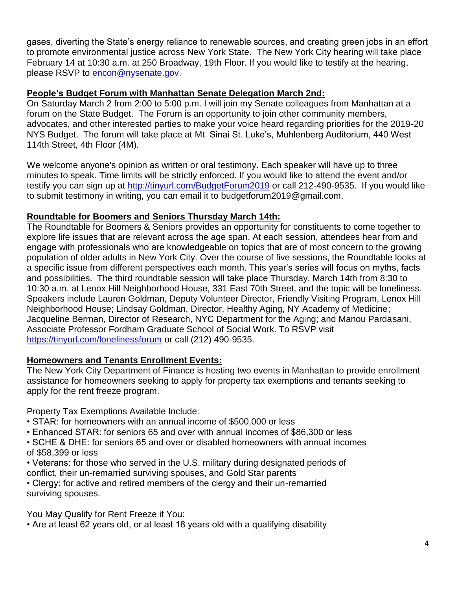gases, diverting the State's energy reliance to renewable sources, and creating green jobs in an effort to promote environmental justice across New York State. The New York City hearing will take place February 14 at 10:30 a.m. at 250 Broadway, 19th Floor. If you would like to testify at the hearing, please RSVP to [encon@nysenate.gov.](mailto:encon@nysenate.gov)

#### **People's Budget Forum with Manhattan Senate Delegation March 2nd:**

On Saturday March 2 from 2:00 to 5:00 p.m. I will join my Senate colleagues from Manhattan at a forum on the State Budget. The Forum is an opportunity to join other community members, advocates, and other interested parties to make your voice heard regarding priorities for the 2019-20 NYS Budget. The forum will take place at Mt. Sinai St. Luke's, Muhlenberg Auditorium, 440 West 114th Street, 4th Floor (4M).

We welcome anyone's opinion as written or oral testimony. Each speaker will have up to three minutes to speak. Time limits will be strictly enforced. If you would like to attend the event and/or testify you can sign up at<http://tinyurl.com/BudgetForum2019> or call 212-490-9535. If you would like to submit testimony in writing, you can email it to budgetforum2019@gmail.com.

#### **Roundtable for Boomers and Seniors Thursday March 14th:**

The Roundtable for Boomers & Seniors provides an opportunity for constituents to come together to explore life issues that are relevant across the age span. At each session, attendees hear from and engage with professionals who are knowledgeable on topics that are of most concern to the growing population of older adults in New York City. Over the course of five sessions, the Roundtable looks at a specific issue from different perspectives each month. This year's series will focus on myths, facts and possibilities. The third roundtable session will take place Thursday, March 14th from 8:30 to 10:30 a.m. at Lenox Hill Neighborhood House, 331 East 70th Street, and the topic will be loneliness. Speakers include Lauren Goldman, Deputy Volunteer Director, Friendly Visiting Program, Lenox Hill Neighborhood House; Lindsay Goldman, Director, Healthy Aging, NY Academy of Medicine; Jacqueline Berman, Director of Research, NYC Department for the Aging; and Manou Pardasani, Associate Professor Fordham Graduate School of Social Work. To RSVP visit <https://tinyurl.com/lonelinessforum> or call (212) 490-9535.

#### **Homeowners and Tenants Enrollment Events:**

The New York City Department of Finance is hosting two events in Manhattan to provide enrollment assistance for homeowners seeking to apply for property tax exemptions and tenants seeking to apply for the rent freeze program.

Property Tax Exemptions Available Include:

- STAR: for homeowners with an annual income of \$500,000 or less
- Enhanced STAR: for seniors 65 and over with annual incomes of \$86,300 or less
- SCHE & DHE: for seniors 65 and over or disabled homeowners with annual incomes of \$58,399 or less
- Veterans: for those who served in the U.S. military during designated periods of conflict, their un-remarried surviving spouses, and Gold Star parents

• Clergy: for active and retired members of the clergy and their un-remarried surviving spouses.

You May Qualify for Rent Freeze if You:

• Are at least 62 years old, or at least 18 years old with a qualifying disability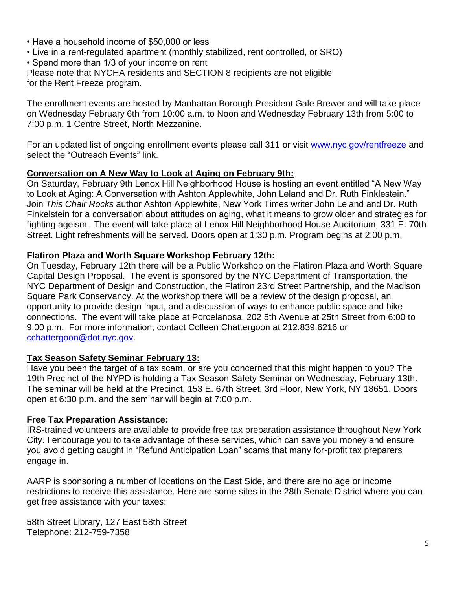- Have a household income of \$50,000 or less
- Live in a rent-regulated apartment (monthly stabilized, rent controlled, or SRO)
- Spend more than 1/3 of your income on rent

Please note that NYCHA residents and SECTION 8 recipients are not eligible for the Rent Freeze program.

The enrollment events are hosted by Manhattan Borough President Gale Brewer and will take place on Wednesday February 6th from 10:00 a.m. to Noon and Wednesday February 13th from 5:00 to 7:00 p.m. 1 Centre Street, North Mezzanine.

For an updated list of ongoing enrollment events please call 311 or visit [www.nyc.gov/rentfreeze](http://www.nyc.gov/rentfreeze) and select the "Outreach Events" link.

#### **Conversation on A New Way to Look at Aging on February 9th:**

On Saturday, February 9th Lenox Hill Neighborhood House is hosting an event entitled "A New Way to Look at Aging: A Conversation with Ashton Applewhite, John Leland and Dr. Ruth Finklestein." Join *This Chair Rocks* author Ashton Applewhite, New York Times writer John Leland and Dr. Ruth Finkelstein for a conversation about attitudes on aging, what it means to grow older and strategies for fighting ageism. The event will take place at Lenox Hill Neighborhood House Auditorium, 331 E. 70th Street. Light refreshments will be served. Doors open at 1:30 p.m. Program begins at 2:00 p.m.

#### **Flatiron Plaza and Worth Square Workshop February 12th:**

On Tuesday, February 12th there will be a Public Workshop on the Flatiron Plaza and Worth Square Capital Design Proposal. The event is sponsored by the NYC Department of Transportation, the NYC Department of Design and Construction, the Flatiron 23rd Street Partnership, and the Madison Square Park Conservancy. At the workshop there will be a review of the design proposal, an opportunity to provide design input, and a discussion of ways to enhance public space and bike connections. The event will take place at Porcelanosa, 202 5th Avenue at 25th Street from 6:00 to 9:00 p.m. For more information, contact Colleen Chattergoon at 212.839.6216 or [cchattergoon@dot.nyc.gov.](mailto:cchattergoon@dot.nyc.gov)

#### **Tax Season Safety Seminar February 13:**

Have you been the target of a tax scam, or are you concerned that this might happen to you? The 19th Precinct of the NYPD is holding a Tax Season Safety Seminar on Wednesday, February 13th. The seminar will be held at the Precinct, 153 E. 67th Street, 3rd Floor, New York, NY 18651. Doors open at 6:30 p.m. and the seminar will begin at 7:00 p.m.

#### **Free Tax Preparation Assistance:**

IRS-trained volunteers are available to provide free tax preparation assistance throughout New York City. I encourage you to take advantage of these services, which can save you money and ensure you avoid getting caught in "Refund Anticipation Loan" scams that many for-profit tax preparers engage in.

AARP is sponsoring a number of locations on the East Side, and there are no age or income restrictions to receive this assistance. Here are some sites in the 28th Senate District where you can get free assistance with your taxes:

58th Street Library, 127 East 58th Street Telephone: 212-759-7358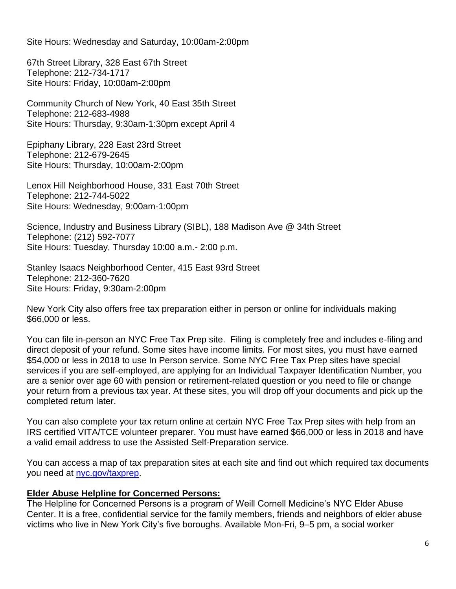Site Hours: Wednesday and Saturday, 10:00am-2:00pm

67th Street Library, 328 East 67th Street Telephone: 212-734-1717 Site Hours: Friday, 10:00am-2:00pm

Community Church of New York, 40 East 35th Street Telephone: 212-683-4988 Site Hours: Thursday, 9:30am-1:30pm except April 4

Epiphany Library, 228 East 23rd Street Telephone: 212-679-2645 Site Hours: Thursday, 10:00am-2:00pm

Lenox Hill Neighborhood House, 331 East 70th Street Telephone: 212-744-5022 Site Hours: Wednesday, 9:00am-1:00pm

Science, Industry and Business Library (SIBL), 188 Madison Ave @ 34th Street Telephone: (212) 592-7077 Site Hours: Tuesday, Thursday 10:00 a.m.- 2:00 p.m.

Stanley Isaacs Neighborhood Center, 415 East 93rd Street Telephone: 212-360-7620 Site Hours: Friday, 9:30am-2:00pm

New York City also offers free tax preparation either in person or online for individuals making \$66,000 or less.

You can file in-person an NYC Free Tax Prep site. Filing is completely free and includes e-filing and direct deposit of your refund. Some sites have income limits. For most sites, you must have earned \$54,000 or less in 2018 to use In Person service. Some NYC Free Tax Prep sites have special services if you are self-employed, are applying for an Individual Taxpayer Identification Number, you are a senior over age 60 with pension or retirement-related question or you need to file or change your return from a previous tax year. At these sites, you will drop off your documents and pick up the completed return later.

You can also complete your tax return online at certain NYC Free Tax Prep sites with help from an IRS certified VITA/TCE volunteer preparer. You must have earned \$66,000 or less in 2018 and have a valid email address to use the Assisted Self-Preparation service.

You can access a map of tax preparation sites at each site and find out which required tax documents you need at [nyc.gov/taxprep.](http://www.nyc.gov/taxprep)

#### **Elder Abuse Helpline for Concerned Persons:**

The Helpline for Concerned Persons is a program of Weill Cornell Medicine's NYC Elder Abuse Center. It is a free, confidential service for the family members, friends and neighbors of elder abuse victims who live in New York City's five boroughs. Available Mon-Fri, 9–5 pm, a social worker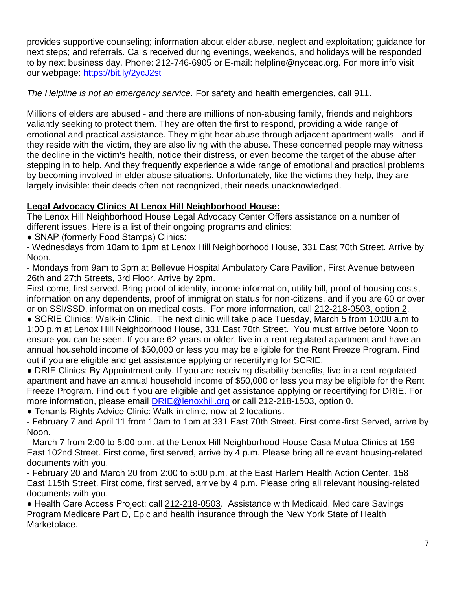provides supportive counseling; information about elder abuse, neglect and exploitation; guidance for next steps; and referrals. Calls received during evenings, weekends, and holidays will be responded to by next business day. Phone: 212-746-6905 or E-mail: helpline@nyceac.org. For more info visit our webpage:<https://bit.ly/2ycJ2st>

*The Helpline is not an emergency service.* For safety and health emergencies, call 911.

Millions of elders are abused - and there are millions of non-abusing family, friends and neighbors valiantly seeking to protect them. They are often the first to respond, providing a wide range of emotional and practical assistance. They might hear abuse through adjacent apartment walls - and if they reside with the victim, they are also living with the abuse. These concerned people may witness the decline in the victim's health, notice their distress, or even become the target of the abuse after stepping in to help. And they frequently experience a wide range of emotional and practical problems by becoming involved in elder abuse situations. Unfortunately, like the victims they help, they are largely invisible: their deeds often not recognized, their needs unacknowledged.

## **Legal Advocacy Clinics At Lenox Hill Neighborhood House:**

The Lenox Hill Neighborhood House Legal Advocacy Center Offers assistance on a number of different issues. Here is a list of their ongoing programs and clinics:

• SNAP (formerly Food Stamps) Clinics:

- Wednesdays from 10am to 1pm at Lenox Hill Neighborhood House, 331 East 70th Street. Arrive by Noon.

- Mondays from 9am to 3pm at Bellevue Hospital Ambulatory Care Pavilion, First Avenue between 26th and 27th Streets, 3rd Floor. Arrive by 2pm.

First come, first served. Bring proof of identity, income information, utility bill, proof of housing costs, information on any dependents, proof of immigration status for non-citizens, and if you are 60 or over or on SSI/SSD, information on medical costs. For more information, call [212-218-0503,](about:blank) option 2.

● SCRIE Clinics: Walk-in Clinic. The next clinic will take place Tuesday, March 5 from 10:00 a.m to 1:00 p.m at Lenox Hill Neighborhood House, 331 East 70th Street. You must arrive before Noon to ensure you can be seen. If you are 62 years or older, live in a rent regulated apartment and have an annual household income of \$50,000 or less you may be eligible for the Rent Freeze Program. Find out if you are eligible and get assistance applying or recertifying for SCRIE.

● DRIE Clinics: By Appointment only. If you are receiving disability benefits, live in a rent-regulated apartment and have an annual household income of \$50,000 or less you may be eligible for the Rent Freeze Program. Find out if you are eligible and get assistance applying or recertifying for DRIE. For more information, please email [DRIE@lenoxhill.org](mailto:DRIE@lenoxhill.org) or call 212-218-1503, option 0.

● Tenants Rights Advice Clinic: Walk-in clinic, now at 2 locations.

- February 7 and April 11 from 10am to 1pm at 331 East 70th Street. First come-first Served, arrive by Noon.

- March 7 from 2:00 to 5:00 p.m. at the Lenox Hill Neighborhood House Casa Mutua Clinics at 159 East 102nd Street. First come, first served, arrive by 4 p.m. Please bring all relevant housing-related documents with you.

- February 20 and March 20 from 2:00 to 5:00 p.m. at the East Harlem Health Action Center, 158 East 115th Street. First come, first served, arrive by 4 p.m. Please bring all relevant housing-related documents with you.

● Health Care Access Project: call [212-218-0503.](about:blank) Assistance with Medicaid, Medicare Savings Program Medicare Part D, Epic and health insurance through the New York State of Health Marketplace.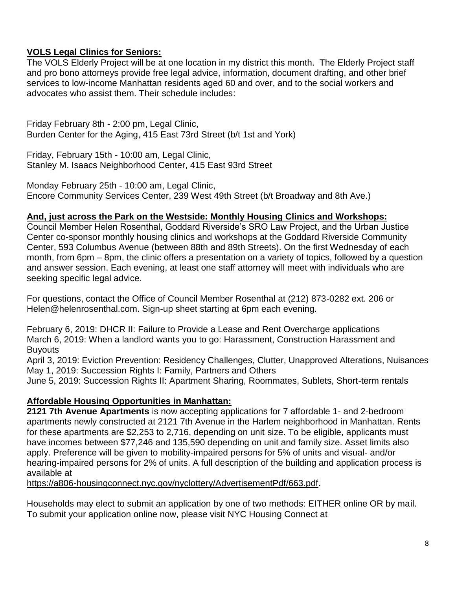### **VOLS Legal Clinics for Seniors:**

The VOLS Elderly Project will be at one location in my district this month. The Elderly Project staff and pro bono attorneys provide free legal advice, information, document drafting, and other brief services to low-income Manhattan residents aged 60 and over, and to the social workers and advocates who assist them. Their schedule includes:

Friday February 8th - 2:00 pm, Legal Clinic, Burden Center for the Aging, 415 East 73rd Street (b/t 1st and York)

Friday, February 15th - 10:00 am, Legal Clinic, Stanley M. Isaacs Neighborhood Center, 415 East 93rd Street

Monday February 25th - 10:00 am, Legal Clinic, Encore Community Services Center, 239 West 49th Street (b/t Broadway and 8th Ave.)

#### **And, just across the Park on the Westside: Monthly Housing Clinics and Workshops:**

Council Member Helen Rosenthal, Goddard Riverside's SRO Law Project, and the Urban Justice Center co-sponsor monthly housing clinics and workshops at the Goddard Riverside Community Center, 593 Columbus Avenue (between 88th and 89th Streets). On the first Wednesday of each month, from 6pm – 8pm, the clinic offers a presentation on a variety of topics, followed by a question and answer session. Each evening, at least one staff attorney will meet with individuals who are seeking specific legal advice.

For questions, contact the Office of Council Member Rosenthal at (212) 873-0282 ext. 206 or Helen@helenrosenthal.com. Sign-up sheet starting at 6pm each evening.

February 6, 2019: DHCR II: Failure to Provide a Lease and Rent Overcharge applications March 6, 2019: When a landlord wants you to go: Harassment, Construction Harassment and **Buyouts** 

April 3, 2019: Eviction Prevention: Residency Challenges, Clutter, Unapproved Alterations, Nuisances May 1, 2019: Succession Rights I: Family, Partners and Others

June 5, 2019: Succession Rights II: Apartment Sharing, Roommates, Sublets, Short-term rentals

#### **Affordable Housing Opportunities in Manhattan:**

**2121 7th Avenue Apartments** is now accepting applications for 7 affordable 1- and 2-bedroom apartments newly constructed at 2121 7th Avenue in the Harlem neighborhood in Manhattan. Rents for these apartments are \$2,253 to 2,716, depending on unit size. To be eligible, applicants must have incomes between \$77,246 and 135,590 depending on unit and family size. Asset limits also apply. Preference will be given to mobility-impaired persons for 5% of units and visual- and/or hearing-impaired persons for 2% of units. A full description of the building and application process is available at

https://a806-housingconnect.nyc.gov/nyclottery/AdvertisementPdf/663.pdf.

Households may elect to submit an application by one of two methods: EITHER online OR by mail. To submit your application online now, please visit NYC Housing Connect at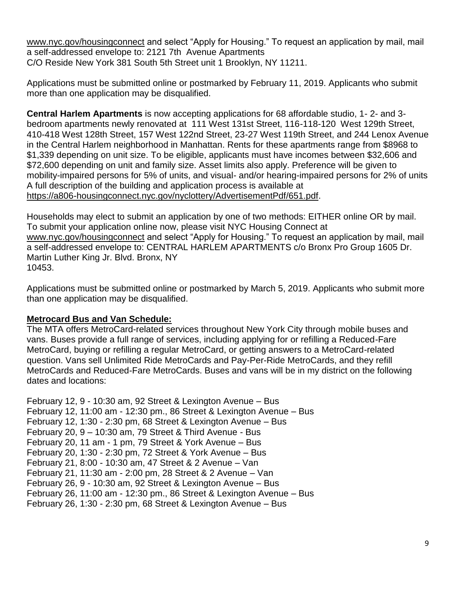[www.nyc.gov/housingconnect](http://www.nyc.gov/housingconnect) and select "Apply for Housing." To request an application by mail, mail a self-addressed envelope to: 2121 7th Avenue Apartments C/O Reside New York 381 South 5th Street unit 1 Brooklyn, NY 11211.

Applications must be submitted online or postmarked by February 11, 2019. Applicants who submit more than one application may be disqualified.

**Central Harlem Apartments** is now accepting applications for 68 affordable studio, 1- 2- and 3 bedroom apartments newly renovated at 111 West 131st Street, 116-118-120 West 129th Street, 410-418 West 128th Street, 157 West 122nd Street, 23-27 West 119th Street, and 244 Lenox Avenue in the Central Harlem neighborhood in Manhattan. Rents for these apartments range from \$8968 to \$1,339 depending on unit size. To be eligible, applicants must have incomes between \$32,606 and \$72,600 depending on unit and family size. Asset limits also apply. Preference will be given to mobility-impaired persons for 5% of units, and visual- and/or hearing-impaired persons for 2% of units A full description of the building and application process is available at https://a806-housingconnect.nyc.gov/nyclottery/AdvertisementPdf/651.pdf.

Households may elect to submit an application by one of two methods: EITHER online OR by mail. To submit your application online now, please visit NYC Housing Connect at [www.nyc.gov/housingconnect](http://www.nyc.gov/housingconnect) and select "Apply for Housing." To request an application by mail, mail a self-addressed envelope to: CENTRAL HARLEM APARTMENTS c/o Bronx Pro Group 1605 Dr. Martin Luther King Jr. Blvd. Bronx, NY 10453.

Applications must be submitted online or postmarked by March 5, 2019. Applicants who submit more than one application may be disqualified.

#### **Metrocard Bus and Van Schedule:**

The MTA offers MetroCard-related services throughout New York City through mobile buses and vans. Buses provide a full range of services, including applying for or refilling a Reduced-Fare MetroCard, buying or refilling a regular MetroCard, or getting answers to a MetroCard-related question. Vans sell Unlimited Ride MetroCards and Pay-Per-Ride MetroCards, and they refill MetroCards and Reduced-Fare MetroCards. Buses and vans will be in my district on the following dates and locations:

```
February 12, 9 - 10:30 am, 92 Street & Lexington Avenue – Bus
February 12, 11:00 am - 12:30 pm., 86 Street & Lexington Avenue – Bus
February 12, 1:30 - 2:30 pm, 68 Street & Lexington Avenue – Bus
February 20, 9 – 10:30 am, 79 Street & Third Avenue - Bus
February 20, 11 am - 1 pm, 79 Street & York Avenue – Bus 
February 20, 1:30 - 2:30 pm, 72 Street & York Avenue – Bus
February 21, 8:00 - 10:30 am, 47 Street & 2 Avenue – Van
February 21, 11:30 am - 2:00 pm, 28 Street & 2 Avenue – Van 
February 26, 9 - 10:30 am, 92 Street & Lexington Avenue – Bus
February 26, 11:00 am - 12:30 pm., 86 Street & Lexington Avenue – Bus
February 26, 1:30 - 2:30 pm, 68 Street & Lexington Avenue – Bus
```